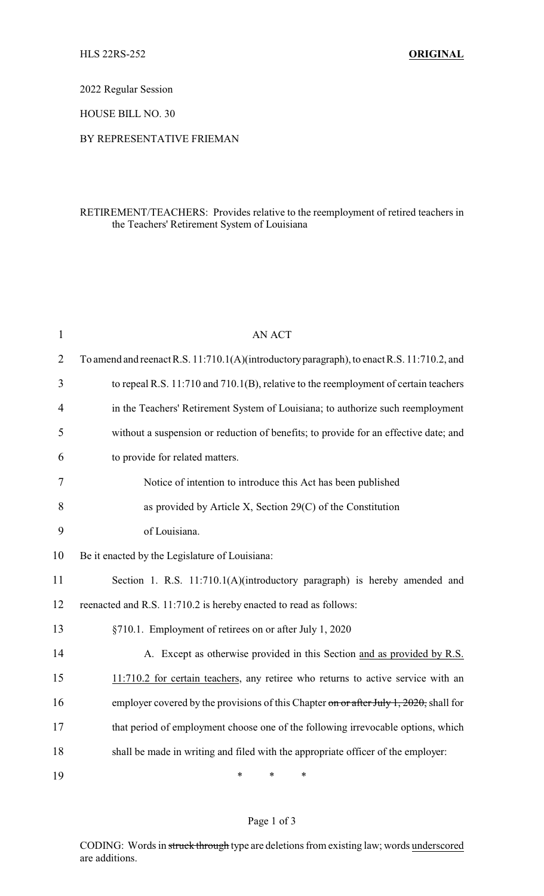2022 Regular Session

HOUSE BILL NO. 30

## BY REPRESENTATIVE FRIEMAN

## RETIREMENT/TEACHERS: Provides relative to the reemployment of retired teachers in the Teachers' Retirement System of Louisiana

| $\mathbf{1}$   | <b>AN ACT</b>                                                                              |
|----------------|--------------------------------------------------------------------------------------------|
| $\overline{2}$ | To amend and reenact R.S. 11:710.1(A)(introductory paragraph), to enact R.S. 11:710.2, and |
| 3              | to repeal R.S. 11:710 and 710.1(B), relative to the reemployment of certain teachers       |
| $\overline{4}$ | in the Teachers' Retirement System of Louisiana; to authorize such reemployment            |
| 5              | without a suspension or reduction of benefits; to provide for an effective date; and       |
| 6              | to provide for related matters.                                                            |
| 7              | Notice of intention to introduce this Act has been published                               |
| 8              | as provided by Article X, Section 29(C) of the Constitution                                |
| 9              | of Louisiana.                                                                              |
| 10             | Be it enacted by the Legislature of Louisiana:                                             |
| 11             | Section 1. R.S. 11:710.1(A)(introductory paragraph) is hereby amended and                  |
| 12             | reenacted and R.S. 11:710.2 is hereby enacted to read as follows:                          |
| 13             | §710.1. Employment of retirees on or after July 1, 2020                                    |
| 14             | A. Except as otherwise provided in this Section and as provided by R.S.                    |
| 15             | 11:710.2 for certain teachers, any retiree who returns to active service with an           |
| 16             | employer covered by the provisions of this Chapter on or after July 1, 2020, shall for     |
| 17             | that period of employment choose one of the following irrevocable options, which           |
| 18             | shall be made in writing and filed with the appropriate officer of the employer:           |
| 19             | *<br>∗<br>∗                                                                                |

## Page 1 of 3

CODING: Words in struck through type are deletions from existing law; words underscored are additions.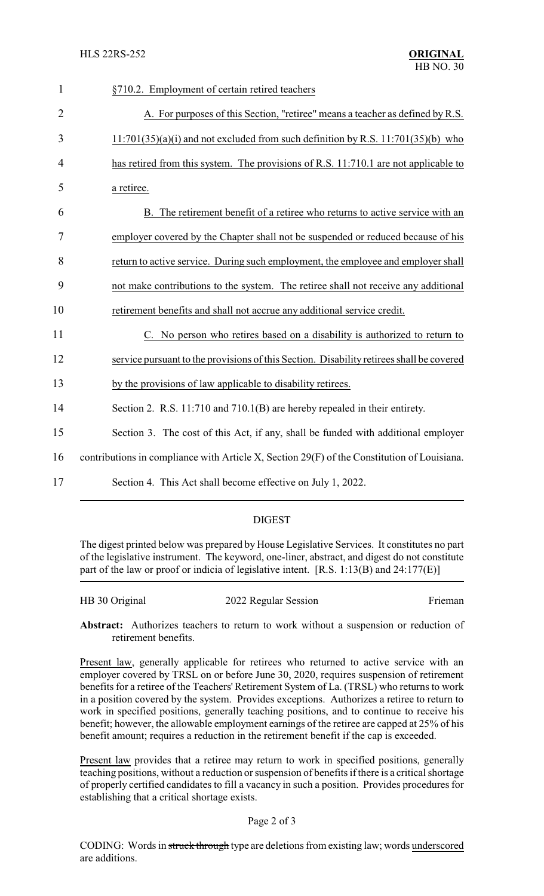| $\mathbf{1}$   | §710.2. Employment of certain retired teachers                                              |
|----------------|---------------------------------------------------------------------------------------------|
| $\overline{2}$ | A. For purposes of this Section, "retiree" means a teacher as defined by R.S.               |
| 3              | $11:701(35)(a)(i)$ and not excluded from such definition by R.S. $11:701(35)(b)$ who        |
| 4              | has retired from this system. The provisions of R.S. 11:710.1 are not applicable to         |
| 5              | a retiree.                                                                                  |
| 6              | B. The retirement benefit of a retiree who returns to active service with an                |
| 7              | employer covered by the Chapter shall not be suspended or reduced because of his            |
| 8              | return to active service. During such employment, the employee and employer shall           |
| 9              | not make contributions to the system. The retiree shall not receive any additional          |
| 10             | retirement benefits and shall not accrue any additional service credit.                     |
| 11             | C. No person who retires based on a disability is authorized to return to                   |
| 12             | service pursuant to the provisions of this Section. Disability retirees shall be covered    |
| 13             | by the provisions of law applicable to disability retirees.                                 |
| 14             | Section 2. R.S. 11:710 and 710.1(B) are hereby repealed in their entirety.                  |
| 15             | Section 3. The cost of this Act, if any, shall be funded with additional employer           |
| 16             | contributions in compliance with Article X, Section 29(F) of the Constitution of Louisiana. |
| 17             | Section 4. This Act shall become effective on July 1, 2022.                                 |
|                |                                                                                             |

## DIGEST

The digest printed below was prepared by House Legislative Services. It constitutes no part of the legislative instrument. The keyword, one-liner, abstract, and digest do not constitute part of the law or proof or indicia of legislative intent. [R.S. 1:13(B) and 24:177(E)]

HB 30 Original 2022 Regular Session Frieman

**Abstract:** Authorizes teachers to return to work without a suspension or reduction of retirement benefits.

Present law, generally applicable for retirees who returned to active service with an employer covered by TRSL on or before June 30, 2020, requires suspension of retirement benefits for a retiree of the Teachers' Retirement System of La. (TRSL) who returns to work in a position covered by the system. Provides exceptions. Authorizes a retiree to return to work in specified positions, generally teaching positions, and to continue to receive his benefit; however, the allowable employment earnings of the retiree are capped at 25% of his benefit amount; requires a reduction in the retirement benefit if the cap is exceeded.

Present law provides that a retiree may return to work in specified positions, generally teaching positions, without a reduction or suspension of benefits if there is a critical shortage of properly certified candidates to fill a vacancy in such a position. Provides procedures for establishing that a critical shortage exists.